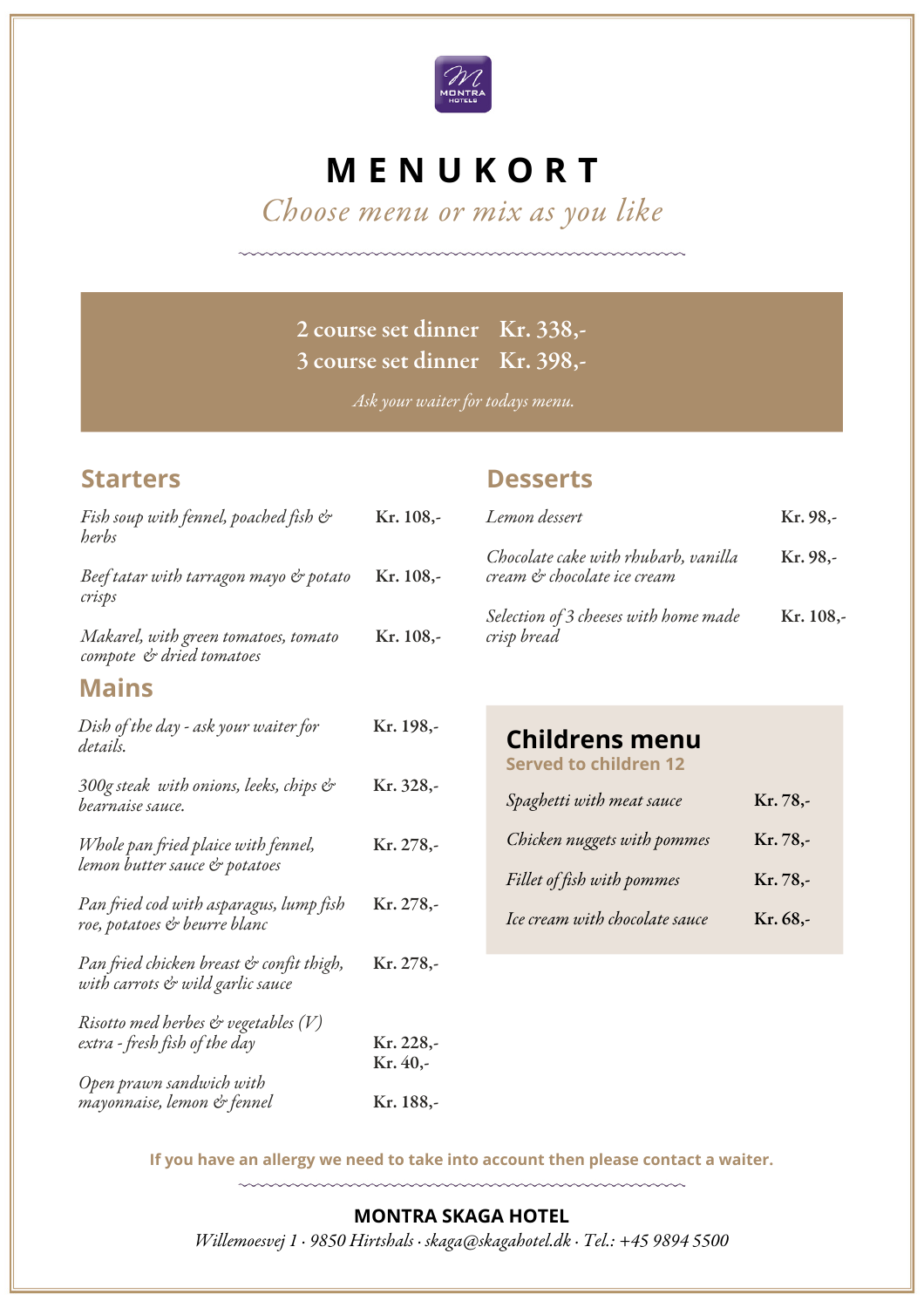

# **M E N U K O R T**

Choose menu or mix as you like

## 2 course set dinner Kr. 338,- 3 course set dinner Kr. 398,-

Ask your waiter for todays menu.

## **Starters**

#### Fish soup with fennel, poached fish & herbs Beef tatar with tarragon mayo & potato crisps Makarel, with green tomatoes, tomato compote & dried tomatoes Kr. 108,- Kr. 108,- Kr. 108,- **Mains** Dish of the day - ask your waiter for details. 300g steak with onions, leeks, chips & bearnaise sauce. Whole pan fried plaice with fennel, lemon butter sauce & potatoes Pan fried cod with asparagus, lump fish roe, potatoes & beurre blanc Pan fried chicken breast & confit thigh, with carrots & wild garlic sauce Risotto med herbes  $\mathfrak{G}$  vegetables  $(V)$ extra - fresh fish of the day Open prawn sandwich with mayonnaise, lemon & fennel Kr. 198,- Kr. 328,- Kr. 278,- Kr. 278,- Kr. 278,- Kr. 228,- Kr. 40,- Kr. 188,-

## **Desserts**

| Lemon dessert                                                       | Kr. 98,-  |
|---------------------------------------------------------------------|-----------|
| Chocolate cake with rhubarb, vanilla<br>cream & chocolate ice cream | Kr. 98.-  |
| Selection of 3 cheeses with home made<br>crisp bread                | Kr. 108,- |

## **Childrens menu**

**Served to children 12**

| Spaghetti with meat sauce      | Kr. 78,- |
|--------------------------------|----------|
| Chicken nuggets with pommes    | Kr. 78,- |
| Fillet of fish with pommes     | Kr. 78,- |
| Ice cream with chocolate sauce | Kr. 68,- |

**If you have an allergy we need to take into account then please contact a waiter.**

#### **MONTRA SKAGA HOTEL**

Willemoesvej 1 · 9850 Hirtshals · [skaga@skagahotel.dk](mailto:info@ophotel.dk) · Tel.: [+45](tel:+4586544744) 9894 5500